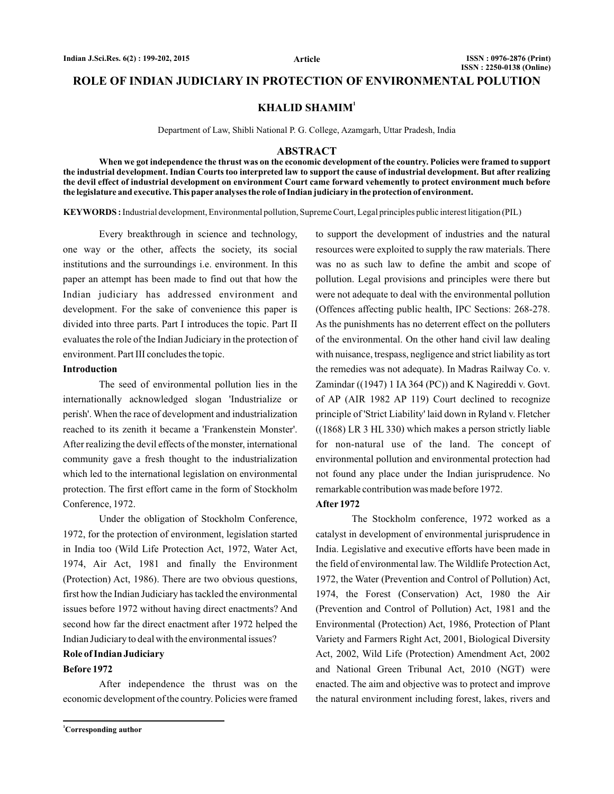### **ROLE OF INDIAN JUDICIARY IN PROTECTION OF ENVIRONMENTAL POLUTION**

**KHALID SHAMIM<sup>1</sup>**

Department of Law, Shibli National P. G. College, Azamgarh, Uttar Pradesh, India

#### **ABSTRACT**

**When we got independence the thrust was on the economic development of the country. Policies were framed to support the industrial development. Indian Courts too interpreted law to support the cause of industrial development. But after realizing the devil effect of industrial development on environment Court came forward vehemently to protect environment much before the legislature and executive. This paper analyses the role of Indian judiciary in the protection of environment.**

KEYWORDS: Industrial development, Environmental pollution, Supreme Court, Legal principles public interest litigation (PIL)

Every breakthrough in science and technology, one way or the other, affects the society, its social institutions and the surroundings i.e. environment. In this paper an attempt has been made to find out that how the Indian judiciary has addressed environment and development. For the sake of convenience this paper is divided into three parts. Part I introduces the topic. Part II evaluates the role of the Indian Judiciary in the protection of environment. Part III concludes the topic.

#### **Introduction**

The seed of environmental pollution lies in the internationally acknowledged slogan 'Industrialize or perish'. When the race of development and industrialization reached to its zenith it became a 'Frankenstein Monster'. After realizing the devil effects of the monster, international community gave a fresh thought to the industrialization which led to the international legislation on environmental protection. The first effort came in the form of Stockholm Conference, 1972.

Under the obligation of Stockholm Conference, 1972, for the protection of environment, legislation started in India too ( Wild Life Protection Act, 1972, Water Act, (Protection) Act, 1986). There are two obvious questions, first how the Indian Judiciary has tackled the environmental issues before 1972 without having direct enactments? And second how far the direct enactment after 1972 helped the Indian Judiciary to deal with the environmental issues? 1974, Air Act, 1981 and finally the Environment

### **Role of Indian Judiciary**

#### **Before 1972**

After independence the thrust was on the economic development of the country. Policies were framed

**<sup>1</sup>Corresponding author**

to support the development of industries and the natural resources were exploited to supply the raw materials. There was no as such law to define the ambit and scope of pollution. Legal provisions and principles were there but were not adequate to deal with the environmental pollution ( Offences affecting public health, IPC Sections: 268-278. the remedies was not adequate). In Madras Railway Co. v. Zamindar ((1947) 1 IA 364 (PC)) and K Nagireddi v. Govt. of AP (AIR 1982 AP 119) Court declined to recognize principle of 'Strict Liability' laid down in Ryland v. Fletcher  $((1868)$  LR 3 HL 330) which makes a person strictly liable for non-natural use of the land. The concept of environmental pollution and environmental protection had not found any place under the Indian jurisprudence. No remarkable contribution was made before 1972. As the punishments has no deterrent effect on the polluters of the environmental. On the other hand civil law dealing with nuisance, trespass, negligence and strict liability as tort

#### **After 1972**

The Stockholm conference, 1972 worked as a catalyst in development of environmental jurisprudence in India. Legislative and executive efforts have been made in the field of environmental law. The Wildlife Protection Act, 1972, the Water (Prevention and Control of Pollution) Act, 1974, the Forest (Conservation) Act, 1980 the Air (Prevention and Control of Pollution) Act, 1981 and the Environmental (Protection) Act, 1986, Protection of Plant Variety and Farmers Right Act, 2001, Biological Diversity Act, 2002, Wild Life (Protection) Amendment Act, 2002 and National Green Tribunal Act, 2010 (NGT) were enacted. The aim and objective was to protect and improve the natural environment including forest, lakes, rivers and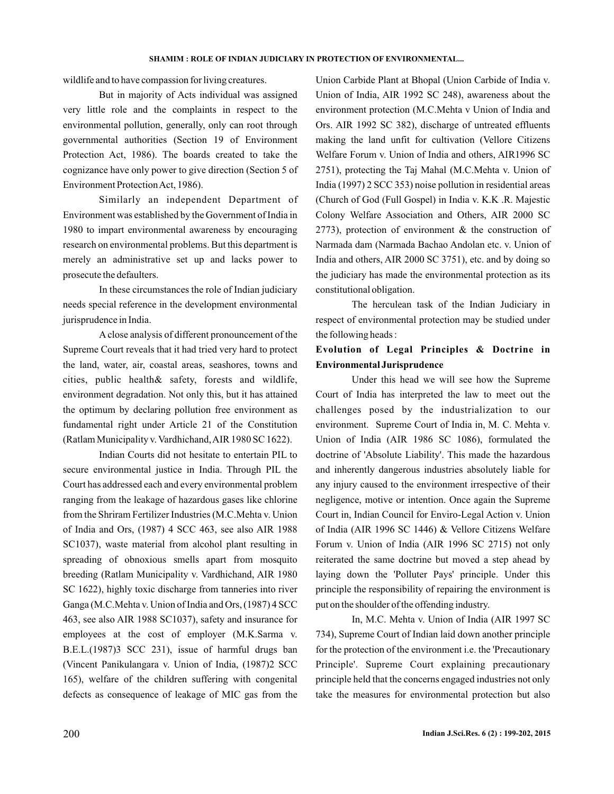wildlife and to have compassion for living creatures.

But in majority of Acts individual was assigned very little role and the complaints in respect to the environmental pollution, generally, only can root through governmental authorities ( Section 19 of Environment Protection Act, 1986). The boards created to take the cognizance have only power to give direction ( Section 5 of ). Environment ProtectionAct, 1986

Similarly an independent Department of Environment was established by the Government of India in 1980 to impart environmental awareness by encouraging research on environmental problems. But this department is merely an administrative set up and lacks power to prosecute the defaulters.

In these circumstances the role of Indian judiciary needs special reference in the development environmental jurisprudence in India.

A close analysis of different pronouncement of the Supreme Court reveals that it had tried very hard to protect the land, water, air, coastal areas, seashores, towns and cities, public health& safety, forests and wildlife, environment degradation. Not only this, but it has attained the optimum by declaring pollution free environment as fundamental right under Article 21 of the Constitution (Ratlam Municipality v. Vardhichand, AIR 1980 SC 1622).

Indian Courts did not hesitate to entertain PIL to secure environmental justice in India. Through PIL the Court has addressed each and every environmental problem ranging from the leakage of hazardous gases like chlorine from the Shriram Fertilizer Industries ( M.C.Mehta v. Union SC1037), waste material from alcohol plant resulting in spreading of obnoxious smells apart from mosquito breeding ( Ratlam Municipality v. Vardhichand, AIR 1980 SC 1622), highly toxic discharge from tanneries into river Ganga ( M.C.Mehta v. Union of India and Ors, (1987) 4 SCC 463, see also AIR 1988 SC1037), safety and insurance for employees at the cost of employer ( M.K.Sarma v. B.E.L.(1987)3 SCC 231), issue of harmful drugs ban ( Vincent Panikulangara v. Union of India, (1987)2 SCC ), welfare of the children suffering with congenital 165 defects as consequence of leakage of MIC gas from the of India and Ors, (1987) 4 SCC 463, see also AIR 1988

Union Carbide Plant at Bhopal ( Union Carbide of India v. Union of India, AIR 1992 SC 248), awareness about the environment protection ( M.C.Mehta v Union of India and Ors. AIR 1992 SC 382), discharge of untreated effluents making the land unfit for cultivation ( Vellore Citizens 2751), protecting the Taj Mahal (M.C.Mehta v. Union of India (1997) 2 SCC 353) noise pollution in residential areas ( Church of God (Full Gospel) in India v. K.K .R. Majestic 2773), protection of environment  $\&$  the construction of Narmada dam ( Narmada Bachao Andolan etc. v. Union of India and others, AIR 2000 SC 3751), etc. and by doing so the judiciary has made the environmental protection as its constitutional obligation. Welfare Forum v. Union of India and others, AIR1996 SC Colony Welfare Association and Others, AIR 2000 SC

The herculean task of the Indian Judiciary in respect of environmental protection may be studied under the following heads :

# **Evolution of Legal Principles & Doctrine in Environmental Jurisprudence**

Under this head we will see how the Supreme Court of India has interpreted the law to meet out the challenges posed by the industrialization to our environment. Supreme Court of India in, M. C. Mehta v. Union of India (AIR 1986 SC 1086), formulated the doctrine of 'Absolute Liability'. This made the hazardous and inherently dangerous industries absolutely liable for any injury caused to the environment irrespective of their negligence, motive or intention. Once again the Supreme Court in, Indian Council for Enviro-Legal Action v. Union of India (AIR 1996 SC 1446) & Vellore Citizens Welfare Forum v. Union of India (AIR 1996 SC 2715) not only reiterated the same doctrine but moved a step ahead by laying down the 'Polluter Pays' principle. Under this principle the responsibility of repairing the environment is put on the shoulder of the offending industry.

In, M.C. Mehta v. Union of India ( AIR 1997 SC ), Supreme Court of Indian laid down another principle 734 for the protection of the environment i.e. the 'Precautionary Principle'. Supreme Court explaining precautionary principle held that the concerns engaged industries not only take the measures for environmental protection but also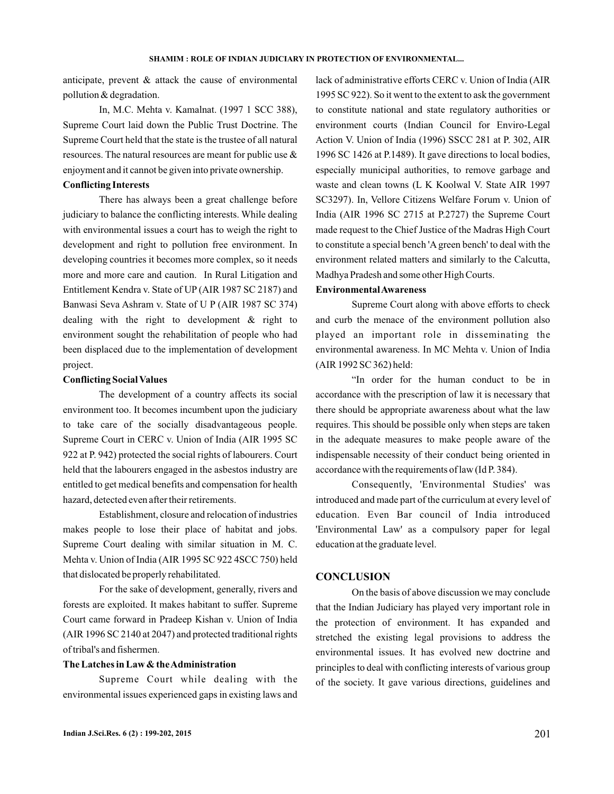anticipate, prevent & attack the cause of environmental pollution & degradation.

In, M.C. Mehta v. Kamalnat. (1997 1 SCC 388), Supreme Court laid down the Public Trust Doctrine. The Supreme Court held that the state is the trustee of all natural resources. The natural resources are meant for public use & enjoyment and it cannot be given into private ownership.

### **Conflicting Interests**

There has always been a great challenge before judiciary to balance the conflicting interests. While dealing with environmental issues a court has to weigh the right to development and right to pollution free environment. In developing countries it becomes more complex, so it needs more and more care and caution. In Rural Litigation and Entitlement Kendra v. State of UP (AIR 1987 SC 2187) and Banwasi Seva Ashram v. State of U P (AIR 1987 SC 374) dealing with the right to development & right to environment sought the rehabilitation of people who had been displaced due to the implementation of development project.

### **Conflicting Social Values**

The development of a country affects its social environment too. It becomes incumbent upon the judiciary to take care of the socially disadvantageous people. Supreme Court in CERC v. Union of India ( AIR 1995 SC 922 at P. 942) protected the social rights of labourers. Court held that the labourers engaged in the asbestos industry are entitled to get medical benefits and compensation for health hazard, detected even after their retirements.

Establishment, closure and relocation of industries makes people to lose their place of habitat and jobs. Supreme Court dealing with similar situation in M. C. Mehta v. Union of India (AIR 1995 SC 922 4SCC 750) held that dislocated be properly rehabilitated.

For the sake of development, generally, rivers and forests are exploited. It makes habitant to suffer. Supreme Court came forward in Pradeep Kishan v. Union of India (AIR 1996 SC 2140 at 2047) and protected traditional rights of tribal's and fishermen.

### **The Latches in Law & theAdministration**

Supreme Court while dealing with the environmental issues experienced gaps in existing laws and

lack of administrative efforts CERC v. Union of India (AIR 1995 SC 922). So it went to the extent to ask the government to constitute national and state regulatory authorities or environment courts (Indian Council for Enviro-Legal 1996 SC 1426 at P.1489). It gave directions to local bodies, especially municipal authorities, to remove garbage and waste and clean towns (L K Koolwal V. State AIR 1997 SC3297). In, Vellore Citizens Welfare Forum v. Union of India (AIR 1996 SC 2715 at P.2727) the Supreme Court made request to the Chief Justice of the Madras High Court to constitute a special bench 'A green bench' to deal with the environment related matters and similarly to the Calcutta, Madhya Pradesh and some other High Courts. Action V. Union of India (1996) SSCC 281 at P. 302, AIR

### **EnvironmentalAwareness**

Supreme Court along with above efforts to check and curb the menace of the environment pollution also played an important role in disseminating the environmental awareness. In MC Mehta v. Union of India (AIR 1992 SC 362) held:

"In order for the human conduct to be in accordance with the prescription of law it is necessary that there should be appropriate awareness about what the law requires. This should be possible only when steps are taken in the adequate measures to make people aware of the indispensable necessity of their conduct being oriented in accordance with the requirements of law (Id P. 384).

Consequently, 'Environmental Studies' was introduced and made part of the curriculum at every level of education. Even Bar council of India introduced 'Environmental Law' as a compulsory paper for legal education at the graduate level.

#### **CONCLUSION**

On the basis of above discussion we may conclude that the Indian Judiciary has played very important role in the protection of environment. It has expanded and stretched the existing legal provisions to address the environmental issues. It has evolved new doctrine and principles to deal with conflicting interests of various group of the society. It gave various directions, guidelines and